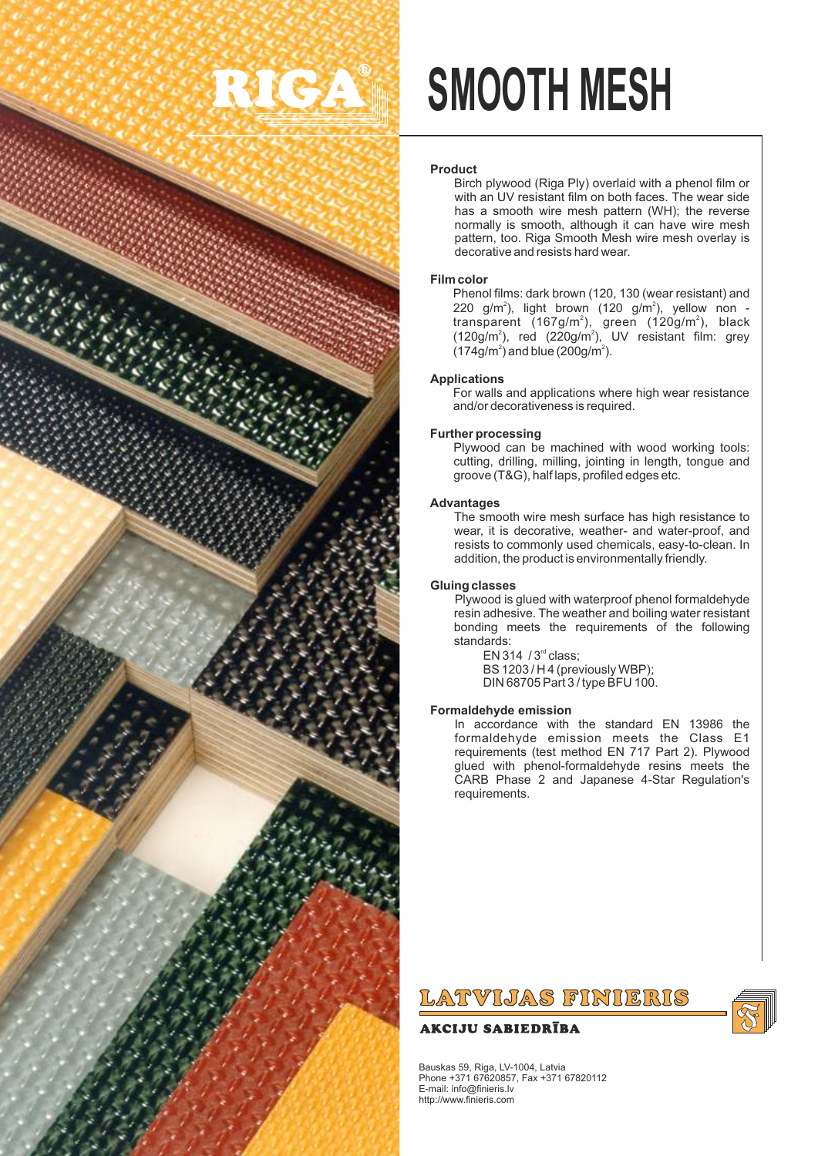

# **SMOOTH MESH**

#### **Product**

Birch plywood (Riga Ply) overlaid with a phenol film or with an UV resistant film on both faces. The wear side has a smooth wire mesh pattern (WH); the reverse normally is smooth, although it can have wire mesh pattern, too. Riga Smooth Mesh wire mesh overlay is decorative and resists hard wear.

#### **Film color**

Phenol films: dark brown (120, 130 (wear resistant) and 220 g/m<sup>2</sup>), light brown (120 g/m<sup>2</sup>), yellow non transparent (167g/m<sup>2</sup>), green (120g/m<sup>2</sup>), black<br>(120g/m<sup>2</sup>), red (220g/m<sup>2</sup>), UV resistant film: grey  $(174 g/m<sup>2</sup>)$  and blue  $(200 g/m<sup>2</sup>)$ .

#### **Applications**

For walls and applications where high wear resistance and/or decorativeness is required.

#### **Further processing**

Plywood can be machined with wood working tools: cutting, drilling, milling, jointing in length, tongue and groove (T&G), half laps, profiled edges etc.

#### **Advantages**

The smooth wire mesh surface has high resistance to wear, it is decorative, weather- and water-proof, and resists to commonly used chemicals, easy-to-clean. In addition, the product is environmentally friendly.

#### **Gluing classes**

Plywood is glued with waterproof phenol formaldehyde resin adhesive. The weather and boiling water resistant bonding meets the requirements of the following standards:

 $EN 314 / 3<sup>rd</sup> class:$ BS 1203 / H 4 (previously WBP); DIN 68705 Part 3 / type BFU 100.

#### **Formaldehyde emission**

In accordance with the standard EN 13986 the formaldehyde emission meets the Class E1 requirements (test method EN 717 Part 2). Plywood glued with phenol-formaldehyde resins meets the CARB Phase 2 and Japanese 4-Star Regulation's requirements.

### LATVIJAS FINIERIS

#### **AKCIJU SABIEDRĪBA**



Bauskas 59, Riga, LV-1004, Latvia Phone +371 67620857, Fax +371 67820112 E-mail: info@finieris.lv http://www.finieris.com